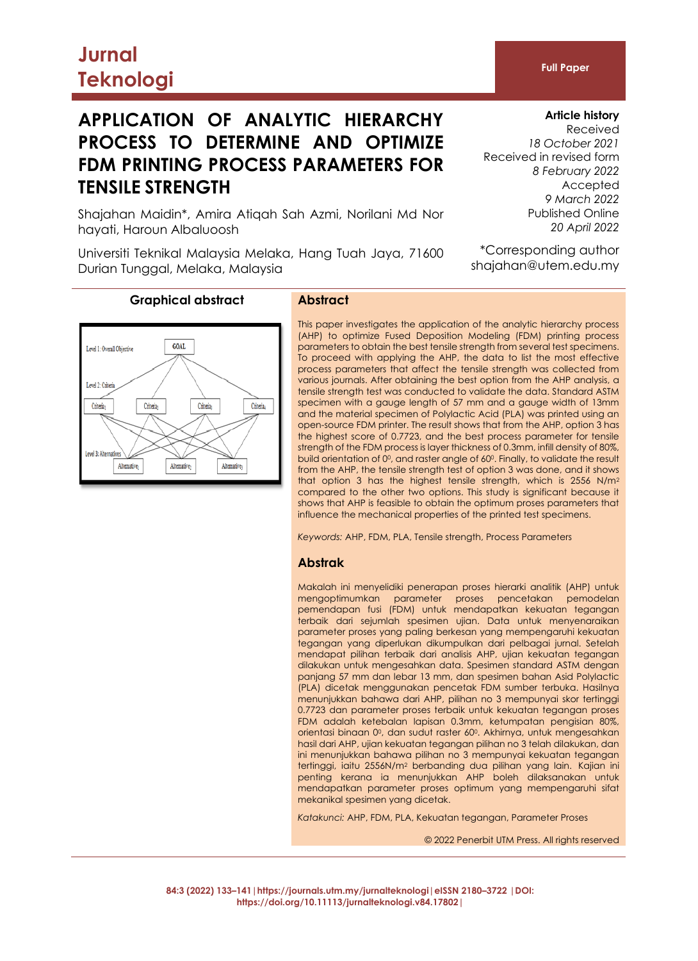# **APPLICATION OF ANALYTIC HIERARCHY PROCESS TO DETERMINE AND OPTIMIZE FDM PRINTING PROCESS PARAMETERS FOR TENSILE STRENGTH**

Shajahan Maidin\*, Amira Atiqah Sah Azmi, Norilani Md Nor hayati, Haroun Albaluoosh

Universiti Teknikal Malaysia Melaka, Hang Tuah Jaya, 71600 Durian Tunggal, Melaka, Malaysia

# **Article history**

**Full Paper**

Received *18 October 2021* Received in revised form *8 February 2022* Accepted *9 March 2022* Published Online *20 April 2022*

\*Corresponding author shajahan@utem.edu.my

# **Graphical abstract Abstract**

# **GOAL** Level 1: Overall Objective Level 2: Criteria Criteria<sub>1</sub> Criteria<sub>3</sub> Criteria. Criteria<sub>2</sub> Level 3: Alternat Altemative<sub>1</sub> Alternative<sub>2</sub> Altemative<sub>3</sub>

This paper investigates the application of the analytic hierarchy process (AHP) to optimize Fused Deposition Modeling (FDM) printing process parameters to obtain the best tensile strength from several test specimens. To proceed with applying the AHP, the data to list the most effective process parameters that affect the tensile strength was collected from various journals. After obtaining the best option from the AHP analysis, a tensile strength test was conducted to validate the data. Standard ASTM specimen with a gauge length of 57 mm and a gauge width of 13mm and the material specimen of Polylactic Acid (PLA) was printed using an open-source FDM printer. The result shows that from the AHP, option 3 has the highest score of 0.7723, and the best process parameter for tensile strength of the FDM process is layer thickness of 0.3mm, infill density of 80%, build orientation of 0°, and raster angle of 60°. Finally, to validate the result from the AHP, the tensile strength test of option 3 was done, and it shows that option 3 has the highest tensile strength, which is 2556 N/m<sup>2</sup> compared to the other two options. This study is significant because it shows that AHP is feasible to obtain the optimum proses parameters that influence the mechanical properties of the printed test specimens.

*Keywords:* AHP, FDM, PLA, Tensile strength, Process Parameters

#### **Abstrak**

Makalah ini menyelidiki penerapan proses hierarki analitik (AHP) untuk mengoptimumkan parameter proses pencetakan pemodelan pemendapan fusi (FDM) untuk mendapatkan kekuatan tegangan terbaik dari sejumlah spesimen ujian. Data untuk menyenaraikan parameter proses yang paling berkesan yang mempengaruhi kekuatan tegangan yang diperlukan dikumpulkan dari pelbagai jurnal. Setelah mendapat pilihan terbaik dari analisis AHP, ujian kekuatan tegangan dilakukan untuk mengesahkan data. Spesimen standard ASTM dengan panjang 57 mm dan lebar 13 mm, dan spesimen bahan Asid Polylactic (PLA) dicetak menggunakan pencetak FDM sumber terbuka. Hasilnya menunjukkan bahawa dari AHP, pilihan no 3 mempunyai skor tertinggi 0.7723 dan parameter proses terbaik untuk kekuatan tegangan proses FDM adalah ketebalan lapisan 0.3mm, ketumpatan pengisian 80%, orientasi binaan 0°, dan sudut raster 60°. Akhirnya, untuk mengesahkan hasil dari AHP, ujian kekuatan tegangan pilihan no 3 telah dilakukan, dan ini menunjukkan bahawa pilihan no 3 mempunyai kekuatan tegangan tertinggi, iaitu 2556N/m<sup>2</sup> berbanding dua pilihan yang lain. Kajian ini penting kerana ia menunjukkan AHP boleh dilaksanakan untuk mendapatkan parameter proses optimum yang mempengaruhi sifat mekanikal spesimen yang dicetak.

*Katakunci:* AHP, FDM, PLA, Kekuatan tegangan, Parameter Proses

© 2022 Penerbit UTM Press. All rights reserved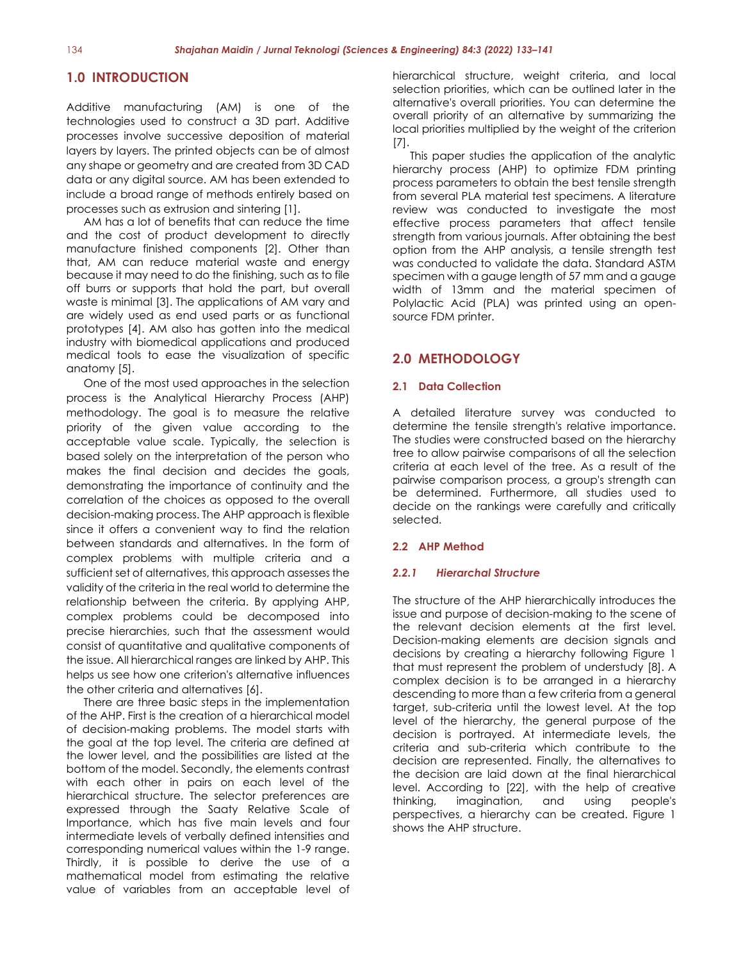# **1.0 INTRODUCTION**

Additive manufacturing (AM) is one of the technologies used to construct a 3D part. Additive processes involve successive deposition of material layers by layers. The printed objects can be of almost any shape or geometry and are created from 3D CAD data or any digital source. AM has been extended to include a broad range of methods entirely based on processes such as extrusion and sintering [1].

AM has a lot of benefits that can reduce the time and the cost of product development to directly manufacture finished components [2]. Other than that, AM can reduce material waste and energy because it may need to do the finishing, such as to file off burrs or supports that hold the part, but overall waste is minimal [3]. The applications of AM vary and are widely used as end used parts or as functional prototypes [4]. AM also has gotten into the medical industry with biomedical applications and produced medical tools to ease the visualization of specific anatomy [5].

One of the most used approaches in the selection process is the Analytical Hierarchy Process (AHP) methodology. The goal is to measure the relative priority of the given value according to the acceptable value scale. Typically, the selection is based solely on the interpretation of the person who makes the final decision and decides the goals, demonstrating the importance of continuity and the correlation of the choices as opposed to the overall decision-making process. The AHP approach is flexible since it offers a convenient way to find the relation between standards and alternatives. In the form of complex problems with multiple criteria and a sufficient set of alternatives, this approach assesses the validity of the criteria in the real world to determine the relationship between the criteria. By applying AHP, complex problems could be decomposed into precise hierarchies, such that the assessment would consist of quantitative and qualitative components of the issue. All hierarchical ranges are linked by AHP. This helps us see how one criterion's alternative influences the other criteria and alternatives [6].

There are three basic steps in the implementation of the AHP. First is the creation of a hierarchical model of decision-making problems. The model starts with the goal at the top level. The criteria are defined at the lower level, and the possibilities are listed at the bottom of the model. Secondly, the elements contrast with each other in pairs on each level of the hierarchical structure. The selector preferences are expressed through the Saaty Relative Scale of Importance, which has five main levels and four intermediate levels of verbally defined intensities and corresponding numerical values within the 1-9 range. Thirdly, it is possible to derive the use of a mathematical model from estimating the relative value of variables from an acceptable level of

hierarchical structure, weight criteria, and local selection priorities, which can be outlined later in the alternative's overall priorities. You can determine the overall priority of an alternative by summarizing the local priorities multiplied by the weight of the criterion [7].

This paper studies the application of the analytic hierarchy process (AHP) to optimize FDM printing process parameters to obtain the best tensile strength from several PLA material test specimens. A literature review was conducted to investigate the most effective process parameters that affect tensile strength from various journals. After obtaining the best option from the AHP analysis, a tensile strength test was conducted to validate the data. Standard ASTM specimen with a gauge length of 57 mm and a gauge width of 13mm and the material specimen of Polylactic Acid (PLA) was printed using an opensource FDM printer.

## **2.0 METHODOLOGY**

#### **2.1 Data Collection**

A detailed literature survey was conducted to determine the tensile strength's relative importance. The studies were constructed based on the hierarchy tree to allow pairwise comparisons of all the selection criteria at each level of the tree. As a result of the pairwise comparison process, a group's strength can be determined. Furthermore, all studies used to decide on the rankings were carefully and critically selected.

#### **2.2 AHP Method**

#### *2.2.1 Hierarchal Structure*

The structure of the AHP hierarchically introduces the issue and purpose of decision-making to the scene of the relevant decision elements at the first level. Decision-making elements are decision signals and decisions by creating a hierarchy following Figure 1 that must represent the problem of understudy [8]. A complex decision is to be arranged in a hierarchy descending to more than a few criteria from a general target, sub-criteria until the lowest level. At the top level of the hierarchy, the general purpose of the decision is portrayed. At intermediate levels, the criteria and sub-criteria which contribute to the decision are represented. Finally, the alternatives to the decision are laid down at the final hierarchical level. According to [22], with the help of creative thinking, imagination, and using people's perspectives, a hierarchy can be created. Figure 1 shows the AHP structure.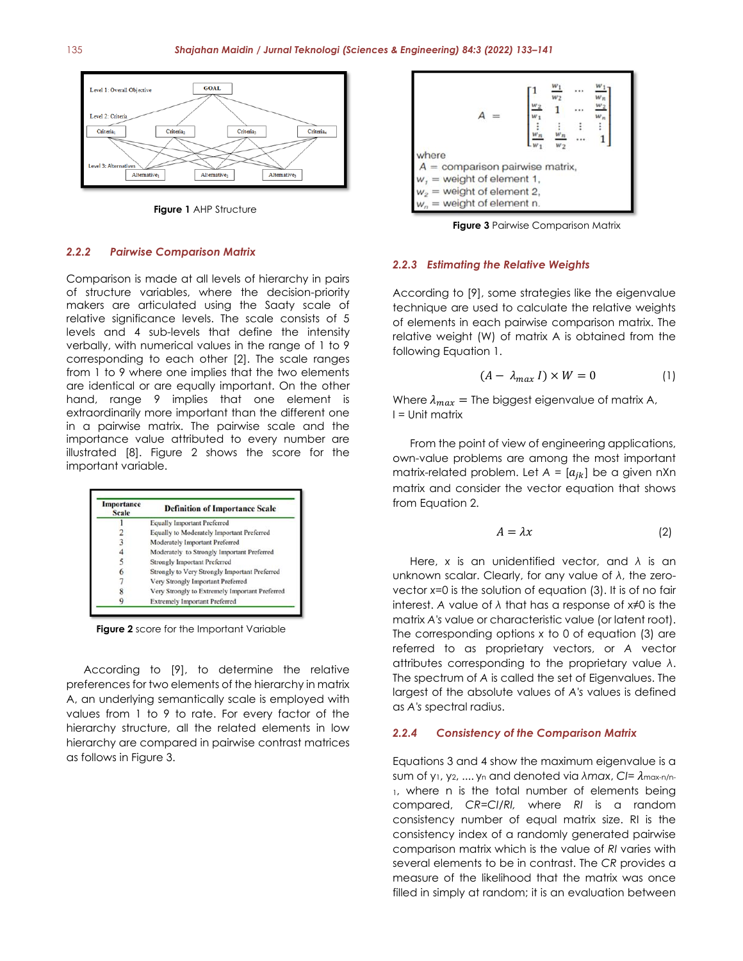

**Figure 1** AHP Structure

#### *2.2.2 Pairwise Comparison Matrix*

Comparison is made at all levels of hierarchy in pairs of structure variables, where the decision-priority makers are articulated using the Saaty scale of relative significance levels. The scale consists of 5 levels and 4 sub-levels that define the intensity verbally, with numerical values in the range of 1 to 9 corresponding to each other [2]. The scale ranges from 1 to 9 where one implies that the two elements are identical or are equally important. On the other hand, range 9 implies that one element is extraordinarily more important than the different one in a pairwise matrix. The pairwise scale and the importance value attributed to every number are illustrated [8]. Figure 2 shows the score for the important variable.

| Importance<br><b>Scale</b> | <b>Definition of Importance Scale</b>          |
|----------------------------|------------------------------------------------|
|                            | <b>Equally Important Preferred</b>             |
|                            | Equally to Moderately Important Preferred      |
|                            | <b>Moderately Important Preferred</b>          |
|                            | Moderately to Strongly Important Preferred     |
|                            | <b>Strongly Important Preferred</b>            |
|                            | Strongly to Very Strongly Important Preferred  |
|                            | Very Strongly Important Preferred              |
|                            | Very Strongly to Extremely Important Preferred |
|                            | <b>Extremely Important Preferred</b>           |

**Figure 2** score for the Important Variable

According to [9], to determine the relative preferences for two elements of the hierarchy in matrix A, an underlying semantically scale is employed with values from 1 to 9 to rate. For every factor of the hierarchy structure, all the related elements in low hierarchy are compared in pairwise contrast matrices as follows in Figure 3.



**Figure 3** Pairwise Comparison Matrix

#### *2.2.3 Estimating the Relative Weights*

According to [9], some strategies like the eigenvalue technique are used to calculate the relative weights of elements in each pairwise comparison matrix. The relative weight (W) of matrix A is obtained from the following Equation 1.

$$
(A - \lambda_{max} I) \times W = 0 \tag{1}
$$

Where  $\lambda_{max}$  = The biggest eigenvalue of matrix A, I = Unit matrix

From the point of view of engineering applications, own-value problems are among the most important matrix-related problem. Let  $A = [a_{jk}]$  be a given nXn matrix and consider the vector equation that shows from Equation 2.

$$
A = \lambda x \tag{2}
$$

Here, *x* is an unidentified vector, and *λ* is an unknown scalar. Clearly, for any value of *λ*, the zerovector *x*=0 is the solution of equation (3). It is of no fair interest. *A* value of *λ* that has a response of x≠0 is the matrix *A's* value or characteristic value (or latent root). The corresponding options *x* to 0 of equation (3) are referred to as proprietary vectors, or *A* vector attributes corresponding to the proprietary value *λ*. The spectrum of *A* is called the set of Eigenvalues. The largest of the absolute values of *A's* values is defined as *A's* spectral radius.

#### *2.2.4 Consistency of the Comparison Matrix*

Equations 3 and 4 show the maximum eigenvalue is a sum of y<sub>1</sub>, y<sub>2</sub>, .... y<sub>n</sub> and denoted via *λmax*, *CI*=  $λ$ <sub>max-n/n-</sub> 1, where n is the total number of elements being compared, *CR=CI/RI,* where *RI* is a random consistency number of equal matrix size. RI is the consistency index of a randomly generated pairwise comparison matrix which is the value of *RI* varies with several elements to be in contrast. The *CR* provides a measure of the likelihood that the matrix was once filled in simply at random; it is an evaluation between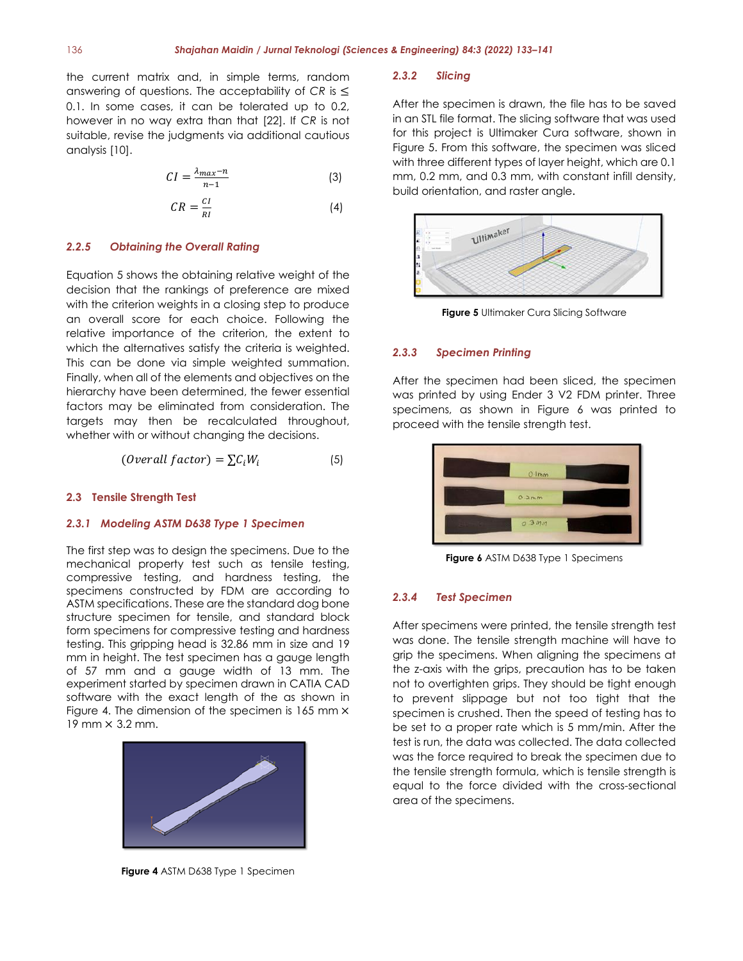the current matrix and, in simple terms, random answering of questions. The acceptability of *CR* is ≤ 0.1. In some cases, it can be tolerated up to 0.2, however in no way extra than that [22]. If *CR* is not suitable, revise the judgments via additional cautious analysis [10].

$$
CI = \frac{\lambda_{max} - n}{n - 1} \tag{3}
$$

$$
CR = \frac{CI}{RI} \tag{4}
$$

#### *2.2.5 Obtaining the Overall Rating*

Equation 5 shows the obtaining relative weight of the decision that the rankings of preference are mixed with the criterion weights in a closing step to produce an overall score for each choice. Following the relative importance of the criterion, the extent to which the alternatives satisfy the criteria is weighted. This can be done via simple weighted summation. Finally, when all of the elements and objectives on the hierarchy have been determined, the fewer essential factors may be eliminated from consideration. The targets may then be recalculated throughout, whether with or without changing the decisions.

$$
(Overall factor) = \sum C_i W_i
$$
 (5)

#### **2.3 Tensile Strength Test**

#### *2.3.1 Modeling ASTM D638 Type 1 Specimen*

The first step was to design the specimens. Due to the mechanical property test such as tensile testing, compressive testing, and hardness testing, the specimens constructed by FDM are according to ASTM specifications. These are the standard dog bone structure specimen for tensile, and standard block form specimens for compressive testing and hardness testing. This gripping head is 32.86 mm in size and 19 mm in height. The test specimen has a gauge length of 57 mm and a gauge width of 13 mm. The experiment started by specimen drawn in CATIA CAD software with the exact length of the as shown in Figure 4. The dimension of the specimen is  $165$  mm  $\times$ 19 mm × 3.2 mm.



**Figure 4** ASTM D638 Type 1 Specimen

#### *2.3.2 Slicing*

After the specimen is drawn, the file has to be saved in an STL file format. The slicing software that was used for this project is Ultimaker Cura software, shown in Figure 5. From this software, the specimen was sliced with three different types of layer height, which are 0.1 mm, 0.2 mm, and 0.3 mm, with constant infill density, build orientation, and raster angle.



**Figure 5** Ultimaker Cura Slicing Software

#### *2.3.3 Specimen Printing*

After the specimen had been sliced, the specimen was printed by using Ender 3 V2 FDM printer. Three specimens, as shown in Figure 6 was printed to proceed with the tensile strength test.



**Figure 6** ASTM D638 Type 1 Specimens

#### *2.3.4 Test Specimen*

After specimens were printed, the tensile strength test was done. The tensile strength machine will have to grip the specimens. When aligning the specimens at the z-axis with the grips, precaution has to be taken not to overtighten grips. They should be tight enough to prevent slippage but not too tight that the specimen is crushed. Then the speed of testing has to be set to a proper rate which is 5 mm/min. After the test is run, the data was collected. The data collected was the force required to break the specimen due to the tensile strength formula, which is tensile strength is equal to the force divided with the cross-sectional area of the specimens.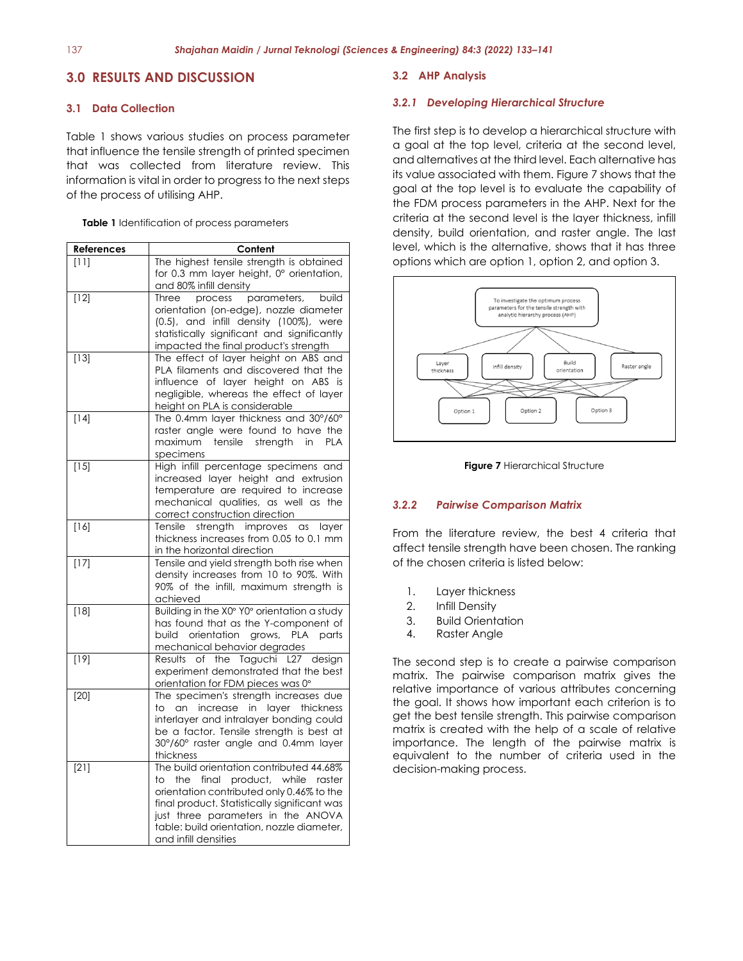# **3.0 RESULTS AND DISCUSSION**

#### **3.1 Data Collection**

Table 1 shows various studies on process parameter that influence the tensile strength of printed specimen that was collected from literature review. This information is vital in order to progress to the next steps of the process of utilising AHP.

**Table 1** Identification of process parameters

| <u>References</u> | Content                                                                                                                                                                                                                                                                                    |  |  |  |
|-------------------|--------------------------------------------------------------------------------------------------------------------------------------------------------------------------------------------------------------------------------------------------------------------------------------------|--|--|--|
| [11]              | The highest tensile strength is obtained<br>for 0.3 mm layer height, 0° orientation,<br>and 80% infill density                                                                                                                                                                             |  |  |  |
| $[12]$            | process<br>Three<br>parameters,<br>build<br>orientation (on-edge), nozzle diameter<br>(0.5), and infill density (100%), were<br>statistically significant and significantly<br>impacted the final product's strength                                                                       |  |  |  |
| $[13]$            | The effect of layer height on ABS and<br>PLA filaments and discovered that the<br>influence of layer height on ABS is<br>negligible, whereas the effect of layer<br>height on PLA is considerable                                                                                          |  |  |  |
| $[14]$            | The 0.4mm layer thickness and 30°/60°<br>raster angle were found to have the<br>maximum tensile strength in<br>PLA<br>specimens                                                                                                                                                            |  |  |  |
| $[15]$            | High infill percentage specimens and<br>increased layer height and extrusion<br>temperature are required to increase<br>mechanical qualities, as well as the<br>correct construction direction                                                                                             |  |  |  |
| $[16]$            | Tensile strength improves as<br>layer<br>thickness increases from 0.05 to 0.1 mm<br>in the horizontal direction                                                                                                                                                                            |  |  |  |
| $[17]$            | Tensile and yield strength both rise when<br>density increases from 10 to 90%. With<br>90% of the infill, maximum strength is<br>achieved                                                                                                                                                  |  |  |  |
| $[18]$            | Building in the X0° Y0° orientation a study<br>has found that as the Y-component of<br>build orientation grows,<br><b>PLA</b><br>parts<br>mechanical behavior degrades                                                                                                                     |  |  |  |
| $[19]$            | Results of the Taguchi L27 design<br>experiment demonstrated that the best<br>orientation for FDM pieces was 0°                                                                                                                                                                            |  |  |  |
| $\boxed{[20]}$    | The specimen's strength increases due<br>an<br>increase in<br>layer thickness<br>to.<br>interlayer and intralayer bonding could<br>be a factor. Tensile strength is best at<br>30°/60° raster angle and 0.4mm layer<br>thickness                                                           |  |  |  |
| $[21]$            | The build orientation contributed 44.68%<br>the final product, while raster<br>to<br>orientation contributed only 0.46% to the<br>final product. Statistically significant was<br>just three parameters in the ANOVA<br>table: build orientation, nozzle diameter,<br>and infill densities |  |  |  |

#### **3.2 AHP Analysis**

#### *3.2.1 Developing Hierarchical Structure*

The first step is to develop a hierarchical structure with a goal at the top level, criteria at the second level, and alternatives at the third level. Each alternative has its value associated with them. Figure 7 shows that the goal at the top level is to evaluate the capability of the FDM process parameters in the AHP. Next for the criteria at the second level is the layer thickness, infill density, build orientation, and raster angle. The last level, which is the alternative, shows that it has three options which are option 1, option 2, and option 3.





#### *3.2.2 Pairwise Comparison Matrix*

From the literature review, the best 4 criteria that affect tensile strength have been chosen. The ranking of the chosen criteria is listed below:

- 1. Layer thickness
- 2. Infill Density
- 3. Build Orientation
- 4. Raster Angle

The second step is to create a pairwise comparison matrix. The pairwise comparison matrix gives the relative importance of various attributes concerning the goal. It shows how important each criterion is to get the best tensile strength. This pairwise comparison matrix is created with the help of a scale of relative importance. The length of the pairwise matrix is equivalent to the number of criteria used in the decision-making process.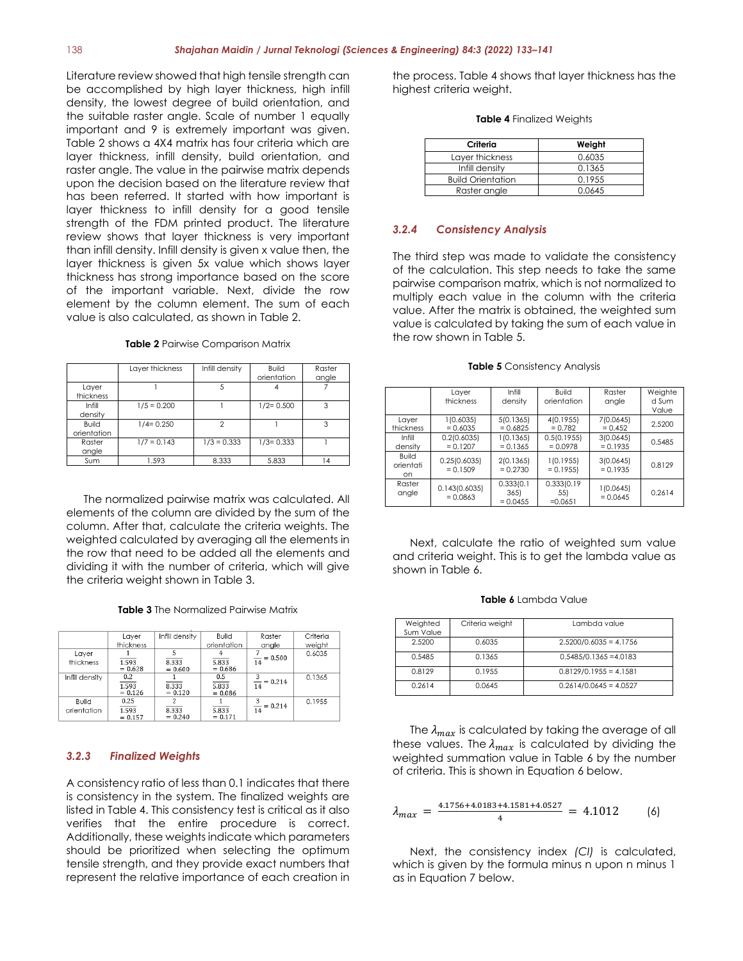Literature review showed that high tensile strength can be accomplished by high layer thickness, high infill density, the lowest degree of build orientation, and the suitable raster angle. Scale of number 1 equally important and 9 is extremely important was given. Table 2 shows a 4X4 matrix has four criteria which are layer thickness, infill density, build orientation, and raster angle. The value in the pairwise matrix depends upon the decision based on the literature review that has been referred. It started with how important is layer thickness to infill density for a good tensile strength of the FDM printed product. The literature review shows that layer thickness is very important than infill density. Infill density is given x value then, the layer thickness is given 5x value which shows layer thickness has strong importance based on the score of the important variable. Next, divide the row element by the column element. The sum of each value is also calculated, as shown in Table 2.

#### **Table 2** Pairwise Comparison Matrix

|                             | Layer thickness | Infill density | <b>Build</b><br>orientation | Raster<br>angle |
|-----------------------------|-----------------|----------------|-----------------------------|-----------------|
| Layer<br>thickness          |                 |                |                             |                 |
| Infill<br>density           | $1/5 = 0.200$   |                | $1/2 = 0.500$               | 3               |
| <b>Build</b><br>orientation | $1/4 = 0.250$   | 2              |                             | 3               |
| Raster<br>angle             | $1/7 = 0.143$   | $1/3 = 0.333$  | $1/3 = 0.333$               |                 |
| Sum                         | 1.593           | 8.333          | 5.833                       | 14              |

The normalized pairwise matrix was calculated. All elements of the column are divided by the sum of the column. After that, calculate the criteria weights. The weighted calculated by averaging all the elements in the row that need to be added all the elements and dividing it with the number of criteria, which will give the criteria weight shown in Table 3.

| <b>Table 3</b> The Normalized Pairwise Matrix |
|-----------------------------------------------|
|-----------------------------------------------|

|                      | Layer                           | Infill density     | Build                             | Raster                   | Criteria         |
|----------------------|---------------------------------|--------------------|-----------------------------------|--------------------------|------------------|
| Laver<br>thickness   | thickness<br>1.593<br>$= 0.628$ | 8.333<br>$= 0.600$ | orientation<br>5.833<br>$= 0.686$ | angle<br>$= 0.500$<br>14 | weight<br>0.6035 |
| Infill density       | 0.2<br>1.593<br>$= 0.126$       | 8.333<br>$= 0.120$ | 0.5<br>5.833<br>$= 0.086$         | $= 0.214$<br>14          | 0.1365           |
| Build<br>orientation | 0.25<br>1.593<br>$= 0.157$      | 8.333<br>$= 0.240$ | 5.833<br>$= 0.171$                | $= 0.214$<br>14          | 0.1955           |

#### *3.2.3 Finalized Weights*

A consistency ratio of less than 0.1 indicates that there is consistency in the system. The finalized weights are listed in Table 4. This consistency test is critical as it also verifies that the entire procedure is correct. Additionally, these weights indicate which parameters should be prioritized when selecting the optimum tensile strength, and they provide exact numbers that represent the relative importance of each creation in

the process. Table 4 shows that layer thickness has the highest criteria weight.

#### **Table 4** Finalized Weights

| Criteria                 | Weight |
|--------------------------|--------|
| Layer thickness          | 0.6035 |
| Infill density           | 0.1365 |
| <b>Build Orientation</b> | 0.1955 |
| Raster angle             | 0.0645 |

#### *3.2.4 Consistency Analysis*

The third step was made to validate the consistency of the calculation. This step needs to take the same pairwise comparison matrix, which is not normalized to multiply each value in the column with the criteria value. After the matrix is obtained, the weighted sum value is calculated by taking the sum of each value in the row shown in Table 5.

|                                        | Layer<br>thickness          | Infill<br>density                | Build<br>orientation          | Raster<br>angle         | Weighte<br>d Sum<br>Value |
|----------------------------------------|-----------------------------|----------------------------------|-------------------------------|-------------------------|---------------------------|
| Layer<br>thickness                     | 1(0.6035)<br>$= 0.6035$     | 5(0.1365)<br>$= 0.6825$          | 4(0.1955)<br>$= 0.782$        | 7(0.0645)<br>$= 0.452$  | 2.5200                    |
| Infill<br>density                      | 0.2(0.6035)<br>$= 0.1207$   | 1(0.1365)<br>$= 0.1365$          | 0.5(0.1955)<br>$= 0.0978$     | 3(0.0645)<br>$= 0.1935$ | 0.5485                    |
| <b>Build</b><br>orientati<br><b>on</b> | 0.25(0.6035)<br>$= 0.1509$  | 2(0.1365)<br>$= 0.2730$          | 1(0.1955)<br>$= 0.1955$       | 3(0.0645)<br>$= 0.1935$ | 0.8129                    |
| Raster<br>angle                        | 0.143(0.6035)<br>$= 0.0863$ | 0.333(0.1)<br>365)<br>$= 0.0455$ | 0.333(0.19<br>55<br>$=0.0651$ | 1(0.0645)<br>$= 0.0645$ | 0.2614                    |

**Table 5** Consistency Analysis

Next, calculate the ratio of weighted sum value and criteria weight. This is to get the lambda value as shown in Table 6.

|  |  |  |  | Table 6 Lambda Value |  |
|--|--|--|--|----------------------|--|
|--|--|--|--|----------------------|--|

| Weighted<br>Sum Value | Criteria weight | Lambda value             |
|-----------------------|-----------------|--------------------------|
| 2.5200                | 0.6035          | $2.5200/0.6035 = 4.1756$ |
| 0.5485                | 0.1365          | $0.5485/0.1365 = 4.0183$ |
| 0.8129                | 0.1955          | $0.8129/0.1955 = 4.1581$ |
| 0.2614                | 0.0645          | $0.2614/0.0645 = 4.0527$ |

The  $\lambda_{max}$  is calculated by taking the average of all these values. The  $\lambda_{max}$  is calculated by dividing the weighted summation value in Table 6 by the number of criteria. This is shown in Equation 6 below.

$$
\lambda_{max} = \frac{4.1756 + 4.0183 + 4.1581 + 4.0527}{4} = 4.1012
$$
 (6)

Next, the consistency index *(CI)* is calculated, which is given by the formula minus n upon n minus 1 as in Equation 7 below.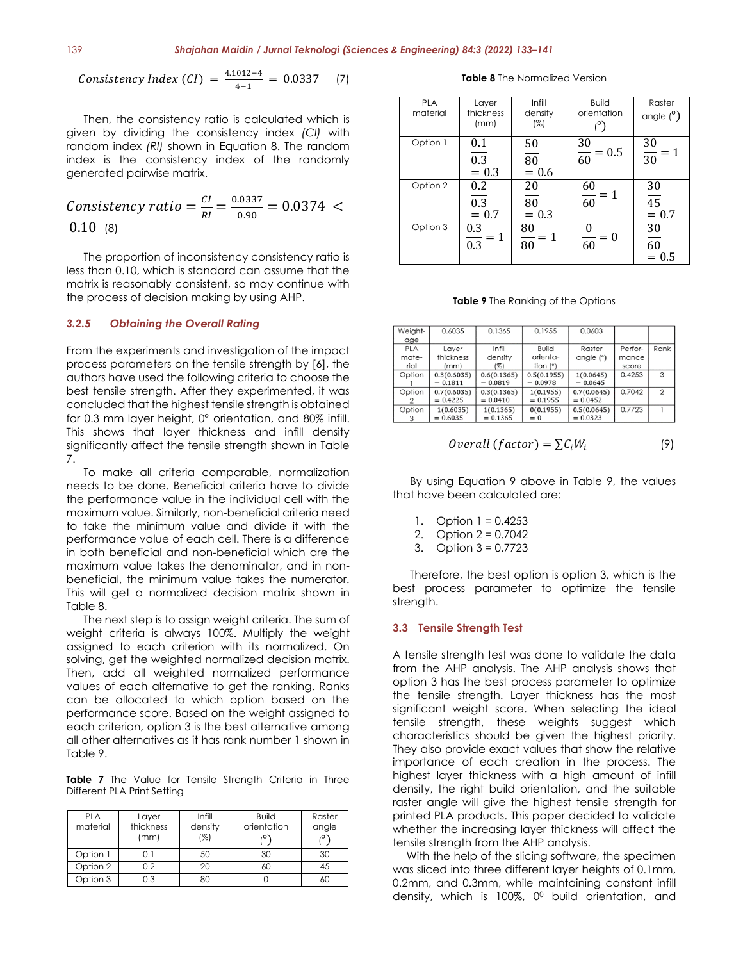$$
Consistency Index (CI) = \frac{4.1012 - 4}{4 - 1} = 0.0337 \quad (7)
$$

Then, the consistency ratio is calculated which is given by dividing the consistency index *(CI)* with random index *(RI)* shown in Equation 8. The random index is the consistency index of the randomly generated pairwise matrix.

*Consistency ratio* = 
$$
\frac{CI}{RI}
$$
 =  $\frac{0.0337}{0.90}$  = 0.0374   
 0.10 (8)

The proportion of inconsistency consistency ratio is less than 0.10, which is standard can assume that the matrix is reasonably consistent, so may continue with the process of decision making by using AHP.

#### *3.2.5 Obtaining the Overall Rating*

From the experiments and investigation of the impact process parameters on the tensile strength by [6], the authors have used the following criteria to choose the best tensile strength. After they experimented, it was concluded that the highest tensile strength is obtained for 0.3 mm layer height, 0° orientation, and 80% infill. This shows that layer thickness and infill density significantly affect the tensile strength shown in Table 7.

To make all criteria comparable, normalization needs to be done. Beneficial criteria have to divide the performance value in the individual cell with the maximum value. Similarly, non-beneficial criteria need to take the minimum value and divide it with the performance value of each cell. There is a difference in both beneficial and non-beneficial which are the maximum value takes the denominator, and in nonbeneficial, the minimum value takes the numerator. This will get a normalized decision matrix shown in Table 8.

The next step is to assign weight criteria. The sum of weight criteria is always 100%. Multiply the weight assigned to each criterion with its normalized. On solving, get the weighted normalized decision matrix. Then, add all weighted normalized performance values of each alternative to get the ranking. Ranks can be allocated to which option based on the performance score. Based on the weight assigned to each criterion, option 3 is the best alternative among all other alternatives as it has rank number 1 shown in Table 9.

**Table 7** The Value for Tensile Strength Criteria in Three Different PLA Print Setting

| <b>PLA</b><br>material | Layer<br>thickness<br>(mm) | Infill<br>density<br>(%) | <b>Build</b><br>orientation | Raster<br>angle<br>دە, |
|------------------------|----------------------------|--------------------------|-----------------------------|------------------------|
| Option 1               | 0.1                        | 50                       | 30                          | 30                     |
| Option 2               | 0.2                        | 20                       | 60                          | 45                     |
| Option 3               | 0.3                        | 80                       |                             | 60                     |

**Table 8** The Normalized Version

| <b>PLA</b><br>material | Layer<br>thickness<br>(mm)      | Infill<br>density<br>(%)         | <b>Build</b><br>orientation | Raster<br>angle $(°)$            |
|------------------------|---------------------------------|----------------------------------|-----------------------------|----------------------------------|
| Option 1               | 0.1<br>0.3<br>$= 0.3$           | 50<br>$\overline{80}$<br>$= 0.6$ | $\frac{30}{60} = 0.5$       | $\frac{30}{30}$<br>= 1           |
| Option 2               | 0.2<br>0.3<br>$= 0.7$           | 20<br>80<br>$= 0.3$              | $\frac{60}{60}$<br>$=1$     | 30<br>$\overline{45}$<br>$= 0.7$ |
| Option 3               | 0.3<br>$=1$<br>$\overline{0.3}$ | 80<br>$=1$<br>$\frac{1}{80}$     | $= 0$<br>$\overline{60}$    | 30<br>60<br>$= 0.5$              |

**Table 9** The Ranking of the Options

| Weight-    | 0.6035      | 0.1365      | 0.1955      | 0.0603      |         |      |
|------------|-------------|-------------|-------------|-------------|---------|------|
| age        |             |             |             |             |         |      |
| <b>PLA</b> | Layer       | Infill      | Build       | Raster      | Perfor- | Rank |
| mate-      | thickness   | density     | orienta-    | angle (°)   | mance   |      |
| rial       | (mm)        | (%)         | tion $(°)$  |             | score   |      |
| Option     | 0.3(0.6035) | 0.6(0.1365) | 0.5(0.1955) | 1(0.0645)   | 0.4253  | 3    |
|            | $= 0.1811$  | $= 0.0819$  | $= 0.0978$  | $= 0.0645$  |         |      |
| Option     | 0.7(0.6035) | 0.3(0.1365) | 1(0.1955)   | 0.7(0.0645) | 0.7042  | 2    |
|            | $= 0.4225$  | $= 0.0410$  | $= 0.1955$  | $= 0.0452$  |         |      |
| Option     | 1(0.6035)   | 1(0.1365)   | 0(0.1955)   | 0.5(0.0645) | 0.7723  |      |
| 3          | $= 0.6035$  | $= 0.1365$  | $= 0$       | $= 0.0323$  |         |      |

*Overall (factor)* = 
$$
\sum C_i W_i
$$
 (9)

By using Equation 9 above in Table 9, the values that have been calculated are:

- 1. Option 1 = 0.4253
- 2. Option 2 = 0.7042
- 3. Option 3 = 0.7723

Therefore, the best option is option 3, which is the best process parameter to optimize the tensile strength.

#### **3.3 Tensile Strength Test**

A tensile strength test was done to validate the data from the AHP analysis. The AHP analysis shows that option 3 has the best process parameter to optimize the tensile strength. Layer thickness has the most significant weight score. When selecting the ideal tensile strength, these weights suggest which characteristics should be given the highest priority. They also provide exact values that show the relative importance of each creation in the process. The highest layer thickness with a high amount of infill density, the right build orientation, and the suitable raster angle will give the highest tensile strength for printed PLA products. This paper decided to validate whether the increasing layer thickness will affect the tensile strength from the AHP analysis.

With the help of the slicing software, the specimen was sliced into three different layer heights of 0.1mm, 0.2mm, and 0.3mm, while maintaining constant infill density, which is 100%, 0<sup>0</sup> build orientation, and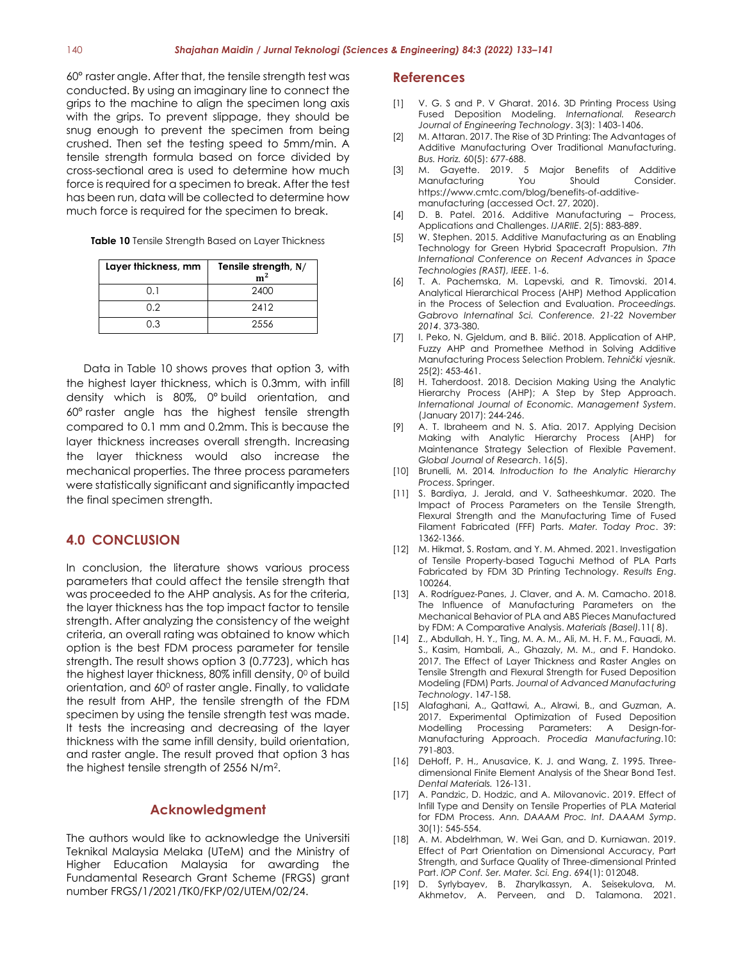60° raster angle. After that, the tensile strength test was conducted. By using an imaginary line to connect the grips to the machine to align the specimen long axis with the grips. To prevent slippage, they should be snug enough to prevent the specimen from being crushed. Then set the testing speed to 5mm/min. A tensile strength formula based on force divided by cross-sectional area is used to determine how much force is required for a specimen to break. After the test has been run, data will be collected to determine how much force is required for the specimen to break.

**Table 10** Tensile Strength Based on Layer Thickness

| Layer thickness, mm | Tensile strength, N/<br>$\mathbf{m}^2$ |
|---------------------|----------------------------------------|
| ו מ                 | 2400                                   |
| 0.2                 | 2412                                   |
| 0.3                 | 2556                                   |

Data in Table 10 shows proves that option 3, with the highest layer thickness, which is 0.3mm, with infill density which is 80%, 0° build orientation, and 60° raster angle has the highest tensile strength compared to 0.1 mm and 0.2mm. This is because the layer thickness increases overall strength. Increasing the layer thickness would also increase the mechanical properties. The three process parameters were statistically significant and significantly impacted the final specimen strength.

### **4.0 CONCLUSION**

In conclusion, the literature shows various process parameters that could affect the tensile strength that was proceeded to the AHP analysis. As for the criteria, the layer thickness has the top impact factor to tensile strength. After analyzing the consistency of the weight criteria, an overall rating was obtained to know which option is the best FDM process parameter for tensile strength. The result shows option 3 (0.7723), which has the highest layer thickness,  $80\%$  infill density,  $0^0$  of build orientation, and 60<sup>0</sup> of raster angle. Finally, to validate the result from AHP, the tensile strength of the FDM specimen by using the tensile strength test was made. It tests the increasing and decreasing of the layer thickness with the same infill density, build orientation, and raster angle. The result proved that option 3 has the highest tensile strength of 2556 N/m<sup>2</sup> .

#### **Acknowledgment**

The authors would like to acknowledge the Universiti Teknikal Malaysia Melaka (UTeM) and the Ministry of Higher Education Malaysia for awarding the Fundamental Research Grant Scheme (FRGS) grant number FRGS/1/2021/TK0/FKP/02/UTEM/02/24.

#### **References**

- [1] V. G. S and P. V Gharat. 2016. 3D Printing Process Using Fused Deposition Modeling. *International. Research Journal of Engineering Technology*. 3(3): 1403-1406.
- [2] M. Attaran. 2017. The Rise of 3D Printing: The Advantages of Additive Manufacturing Over Traditional Manufacturing. *Bus. Horiz.* 60(5): 677-688.
- [3] M. Gayette. 2019. 5 Major Benefits of Additive Manufacturing You Should Consider. https://www.cmtc.com/blog/benefits-of-additivemanufacturing (accessed Oct. 27, 2020).
- [4] D. B. Patel. 2016. Additive Manufacturing Process, Applications and Challenges. *IJARIIE*. 2(5): 883-889.
- [5] W. Stephen. 2015. Additive Manufacturing as an Enabling Technology for Green Hybrid Spacecraft Propulsion. *7th International Conference on Recent Advances in Space Technologies (RAST), IEEE*. 1-6.
- [6] T. A. Pachemska, M. Lapevski, and R. Timovski. 2014. Analytical Hierarchical Process (AHP) Method Application in the Process of Selection and Evaluation. *Proceedings. Gabrovo Internatinal Sci. Conference. 21-22 November 2014*. 373-380.
- [7] I. Peko, N. Gjeldum, and B. Bilić. 2018. Application of AHP, Fuzzy AHP and Promethee Method in Solving Additive Manufacturing Process Selection Problem. *Tehnički vjesnik.* 25(2): 453-461.
- [8] H. Taherdoost. 2018. Decision Making Using the Analytic Hierarchy Process (AHP); A Step by Step Approach. *International Journal of Economic. Management System*. (January 2017): 244-246.
- [9] A. T. Ibraheem and N. S. Atia. 2017. Applying Decision Making with Analytic Hierarchy Process (AHP) for Maintenance Strategy Selection of Flexible Pavement. *Global Journal of Research*. 16(5).
- [10] Brunelli, M. 2014*. Introduction to the Analytic Hierarchy Process*. Springer.
- [11] S. Bardiya, J. Jerald, and V. Satheeshkumar. 2020. The Impact of Process Parameters on the Tensile Strength, Flexural Strength and the Manufacturing Time of Fused Filament Fabricated (FFF) Parts. *Mater. Today Proc*. 39: 1362-1366.
- [12] M. Hikmat, S. Rostam, and Y. M. Ahmed. 2021. Investigation of Tensile Property-based Taguchi Method of PLA Parts Fabricated by FDM 3D Printing Technology. *Results Eng*. 100264.
- [13] A. Rodríguez-Panes, J. Claver, and A. M. Camacho. 2018. The Influence of Manufacturing Parameters on the Mechanical Behavior of PLA and ABS Pieces Manufactured by FDM: A Comparative Analysis. *Materials (Basel).*11( 8).
- [14] Z., Abdullah, H. Y., Ting, M. A. M., Ali, M. H. F. M., Fauadi, M. S., Kasim, Hambali, A., Ghazaly, M. M., and F. Handoko. 2017. The Effect of Layer Thickness and Raster Angles on Tensile Strength and Flexural Strength for Fused Deposition Modeling (FDM) Parts. *Journal of Advanced Manufacturing Technology*. 147-158.
- [15] Alafaghani, A., Qattawi, A., Alrawi, B., and Guzman, A. 2017. Experimental Optimization of Fused Deposition Modelling Processing Parameters: A Design-for-Manufacturing Approach. *Procedia Manufacturing*.10: 791-803.
- [16] DeHoff, P. H., Anusavice, K. J. and Wang, Z. 1995. Threedimensional Finite Element Analysis of the Shear Bond Test. *Dental Materials.* 126-131.
- [17] A. Pandzic, D. Hodzic, and A. Milovanovic. 2019. Effect of Infill Type and Density on Tensile Properties of PLA Material for FDM Process. *Ann. DAAAM Proc. Int. DAAAM Symp*. 30(1): 545-554.
- [18] A. M. Abdelrhman, W. Wei Gan, and D. Kurniawan. 2019. Effect of Part Orientation on Dimensional Accuracy, Part Strength, and Surface Quality of Three-dimensional Printed Part. *IOP Conf. Ser. Mater. Sci. Eng*. 694(1): 012048.
- [19] D. Syrlybayev, B. Zharylkassyn, A. Seisekulova, M. Akhmetov, A. Perveen, and D. Talamona. 2021.